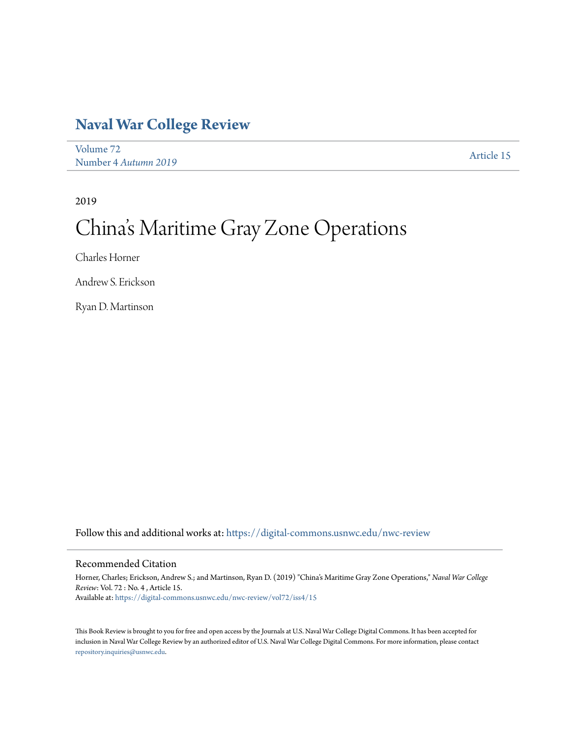## **[Naval War College Review](https://digital-commons.usnwc.edu/nwc-review?utm_source=digital-commons.usnwc.edu%2Fnwc-review%2Fvol72%2Fiss4%2F15&utm_medium=PDF&utm_campaign=PDFCoverPages)**

[Volume 72](https://digital-commons.usnwc.edu/nwc-review/vol72?utm_source=digital-commons.usnwc.edu%2Fnwc-review%2Fvol72%2Fiss4%2F15&utm_medium=PDF&utm_campaign=PDFCoverPages) Number 4 *[Autumn 2019](https://digital-commons.usnwc.edu/nwc-review/vol72/iss4?utm_source=digital-commons.usnwc.edu%2Fnwc-review%2Fvol72%2Fiss4%2F15&utm_medium=PDF&utm_campaign=PDFCoverPages)* [Article 15](https://digital-commons.usnwc.edu/nwc-review/vol72/iss4/15?utm_source=digital-commons.usnwc.edu%2Fnwc-review%2Fvol72%2Fiss4%2F15&utm_medium=PDF&utm_campaign=PDFCoverPages)

2019

## China 's Maritime Gray Zone Operations

Charles Horner

Andrew S. Erickson

Ryan D. Martinson

Follow this and additional works at: [https://digital-commons.usnwc.edu/nwc-review](https://digital-commons.usnwc.edu/nwc-review?utm_source=digital-commons.usnwc.edu%2Fnwc-review%2Fvol72%2Fiss4%2F15&utm_medium=PDF&utm_campaign=PDFCoverPages)

## Recommended Citation

Horner, Charles; Erickson, Andrew S.; and Martinson, Ryan D. (2019) "China's Maritime Gray Zone Operations," *Naval War College Review*: Vol. 72 : No. 4 , Article 15. Available at: [https://digital-commons.usnwc.edu/nwc-review/vol72/iss4/15](https://digital-commons.usnwc.edu/nwc-review/vol72/iss4/15?utm_source=digital-commons.usnwc.edu%2Fnwc-review%2Fvol72%2Fiss4%2F15&utm_medium=PDF&utm_campaign=PDFCoverPages)

This Book Review is brought to you for free and open access by the Journals at U.S. Naval War College Digital Commons. It has been accepted for inclusion in Naval War College Review by an authorized editor of U.S. Naval War College Digital Commons. For more information, please contact [repository.inquiries@usnwc.edu](mailto:repository.inquiries@usnwc.edu).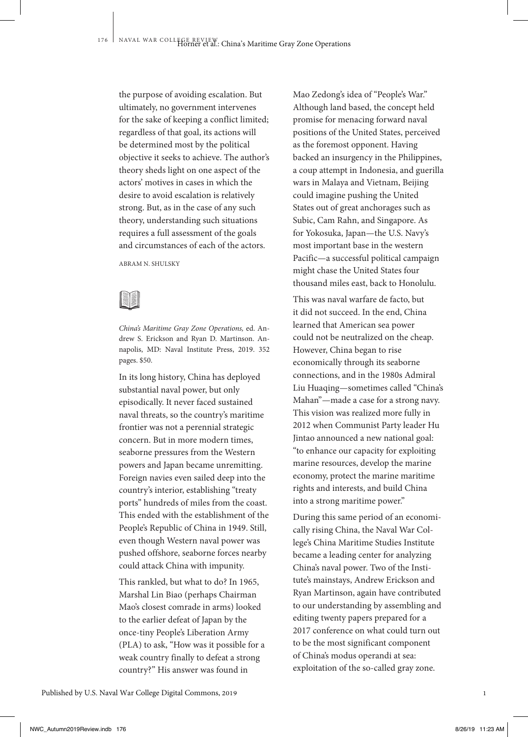the purpose of avoiding escalation. But ultimately, no government intervenes for the sake of keeping a conflict limited; regardless of that goal, its actions will be determined most by the political objective it seeks to achieve. The author's theory sheds light on one aspect of the actors' motives in cases in which the desire to avoid escalation is relatively strong. But, as in the case of any such theory, understanding such situations requires a full assessment of the goals and circumstances of each of the actors.

ABRAM N. SHULSKY



*China's Maritime Gray Zone Operations,* ed. Andrew S. Erickson and Ryan D. Martinson. Annapolis, MD: Naval Institute Press, 2019. 352 pages. \$50.

In its long history, China has deployed substantial naval power, but only episodically. It never faced sustained naval threats, so the country's maritime frontier was not a perennial strategic concern. But in more modern times, seaborne pressures from the Western powers and Japan became unremitting. Foreign navies even sailed deep into the country's interior, establishing "treaty ports" hundreds of miles from the coast. This ended with the establishment of the People's Republic of China in 1949. Still, even though Western naval power was pushed offshore, seaborne forces nearby could attack China with impunity.

This rankled, but what to do? In 1965, Marshal Lin Biao (perhaps Chairman Mao's closest comrade in arms) looked to the earlier defeat of Japan by the once-tiny People's Liberation Army (PLA) to ask, "How was it possible for a weak country finally to defeat a strong country?" His answer was found in

Mao Zedong's idea of "People's War." Although land based, the concept held promise for menacing forward naval positions of the United States, perceived as the foremost opponent. Having backed an insurgency in the Philippines, a coup attempt in Indonesia, and guerilla wars in Malaya and Vietnam, Beijing could imagine pushing the United States out of great anchorages such as Subic, Cam Rahn, and Singapore. As for Yokosuka, Japan—the U.S. Navy's most important base in the western Pacific—a successful political campaign might chase the United States four thousand miles east, back to Honolulu.

This was naval warfare de facto, but it did not succeed. In the end, China learned that American sea power could not be neutralized on the cheap. However, China began to rise economically through its seaborne connections, and in the 1980s Admiral Liu Huaqing—sometimes called "China's Mahan"—made a case for a strong navy. This vision was realized more fully in 2012 when Communist Party leader Hu Jintao announced a new national goal: "to enhance our capacity for exploiting marine resources, develop the marine economy, protect the marine maritime rights and interests, and build China into a strong maritime power."

During this same period of an economically rising China, the Naval War College's China Maritime Studies Institute became a leading center for analyzing China's naval power. Two of the Institute's mainstays, Andrew Erickson and Ryan Martinson, again have contributed to our understanding by assembling and editing twenty papers prepared for a 2017 conference on what could turn out to be the most significant component of China's modus operandi at sea: exploitation of the so-called gray zone.